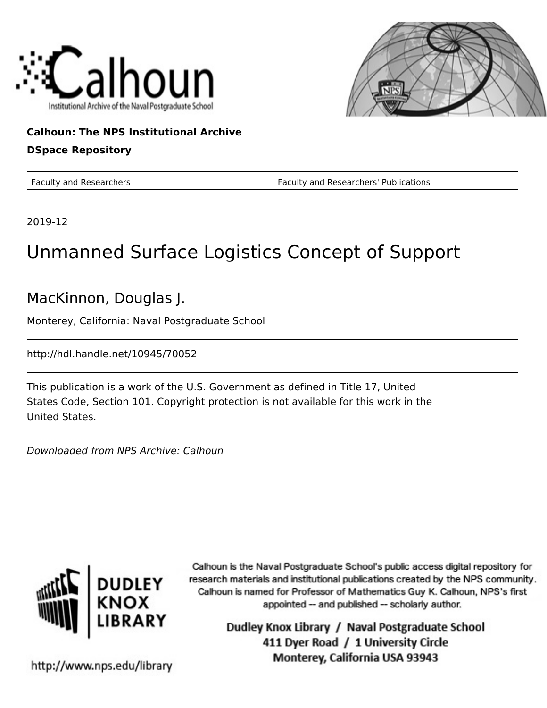



**Calhoun: The NPS Institutional Archive DSpace Repository**

Faculty and Researchers Faculty and Researchers' Publications

2019-12

#### Unmanned Surface Logistics Concept of Support

MacKinnon, Douglas J.

Monterey, California: Naval Postgraduate School

http://hdl.handle.net/10945/70052

This publication is a work of the U.S. Government as defined in Title 17, United States Code, Section 101. Copyright protection is not available for this work in the United States.

Downloaded from NPS Archive: Calhoun



Calhoun is the Naval Postgraduate School's public access digital repository for research materials and institutional publications created by the NPS community. Calhoun is named for Professor of Mathematics Guy K. Calhoun, NPS's first appointed -- and published -- scholarly author.

> Dudley Knox Library / Naval Postgraduate School 411 Dyer Road / 1 University Circle Monterey, California USA 93943

http://www.nps.edu/library